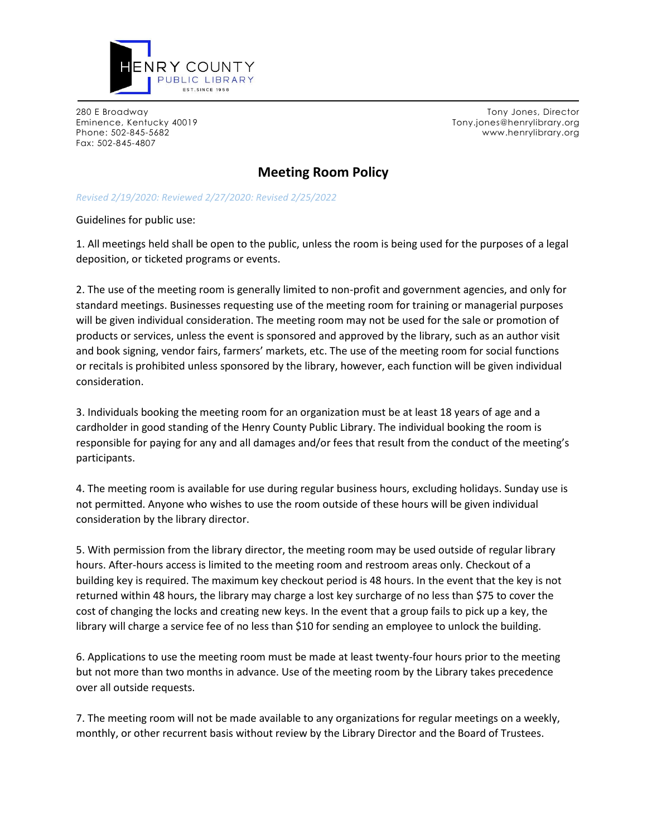

Fax: 502-845-4807

280 E Broadway Tony Jones, Director Eminence, Kentucky 40019 Tony.jones@henrylibrary.org Phone: 502-845-5682 www.henrylibrary.org

## **Meeting Room Policy**

## *Revised 2/19/2020: Reviewed 2/27/2020: Revised 2/25/2022*

Guidelines for public use:

1. All meetings held shall be open to the public, unless the room is being used for the purposes of a legal deposition, or ticketed programs or events.

2. The use of the meeting room is generally limited to non-profit and government agencies, and only for standard meetings. Businesses requesting use of the meeting room for training or managerial purposes will be given individual consideration. The meeting room may not be used for the sale or promotion of products or services, unless the event is sponsored and approved by the library, such as an author visit and book signing, vendor fairs, farmers' markets, etc. The use of the meeting room for social functions or recitals is prohibited unless sponsored by the library, however, each function will be given individual consideration.

3. Individuals booking the meeting room for an organization must be at least 18 years of age and a cardholder in good standing of the Henry County Public Library. The individual booking the room is responsible for paying for any and all damages and/or fees that result from the conduct of the meeting's participants.

4. The meeting room is available for use during regular business hours, excluding holidays. Sunday use is not permitted. Anyone who wishes to use the room outside of these hours will be given individual consideration by the library director.

5. With permission from the library director, the meeting room may be used outside of regular library hours. After-hours access is limited to the meeting room and restroom areas only. Checkout of a building key is required. The maximum key checkout period is 48 hours. In the event that the key is not returned within 48 hours, the library may charge a lost key surcharge of no less than \$75 to cover the cost of changing the locks and creating new keys. In the event that a group fails to pick up a key, the library will charge a service fee of no less than \$10 for sending an employee to unlock the building.

6. Applications to use the meeting room must be made at least twenty-four hours prior to the meeting but not more than two months in advance. Use of the meeting room by the Library takes precedence over all outside requests.

7. The meeting room will not be made available to any organizations for regular meetings on a weekly, monthly, or other recurrent basis without review by the Library Director and the Board of Trustees.